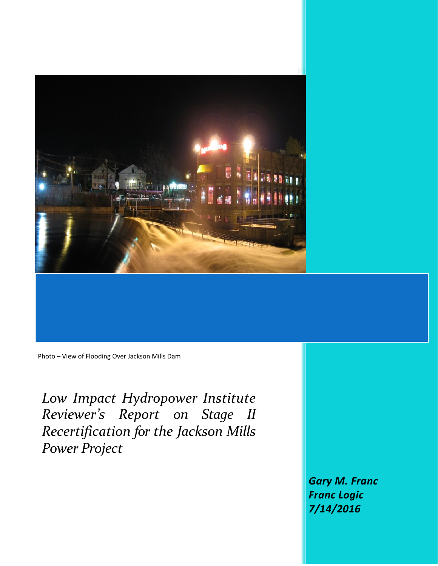

Photo – View of Flooding Over Jackson Mills Dam

*Low Impact Hydropower Institute Reviewer's Report on Stage II Recertification for the Jackson Mills Power Project*

> *Gary M. Franc Franc Logic 7/14/2016*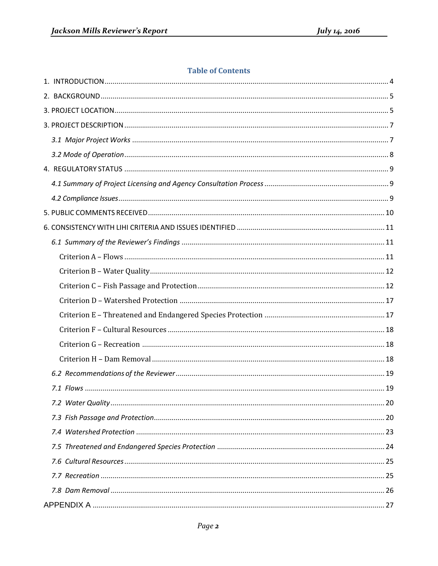### **Table of Contents**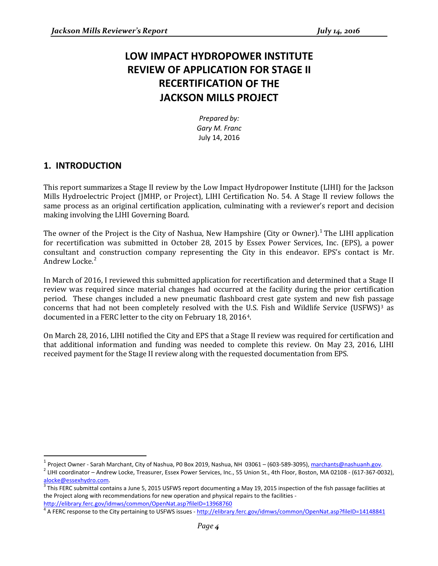# **LOW IMPACT HYDROPOWER INSTITUTE REVIEW OF APPLICATION FOR STAGE II RECERTIFICATION OF THE JACKSON MILLS PROJECT**

*Prepared by: Gary M. Franc* July 14, 2016

# <span id="page-3-0"></span>**1. INTRODUCTION**

This report summarizes a Stage II review by the Low Impact Hydropower Institute (LIHI) for the Jackson Mills Hydroelectric Project (JMHP, or Project), LIHI Certification No. 54. A Stage II review follows the same process as an original certification application, culminating with a reviewer's report and decision making involving the LIHI Governing Board.

The owner of the Project is the City of Nashua, New Hampshire (City or Owner).<sup>[1](#page-3-1)</sup> The LIHI application for recertification was submitted in October 28, 2015 by Essex Power Services, Inc. (EPS), a power consultant and construction company representing the City in this endeavor. EPS's contact is Mr. Andrew Locke.<sup>[2](#page-3-2)</sup>

In March of 2016, I reviewed this submitted application for recertification and determined that a Stage II review was required since material changes had occurred at the facility during the prior certification period. These changes included a new pneumatic flashboard crest gate system and new fish pas[sa](#page-3-3)ge concerns that had not been completely resolved with the [U](#page-3-4).S. Fish and Wildlife Service (USFWS) $^3$  as documented in a FERC letter to the city on February 18, 20164.

On March 28, 2016, LIHI notified the City and EPS that a Stage II review was required for certification and that additional information and funding was needed to complete this review. On May 23, 2016, LIHI received payment for the Stage II review along with the requested documentation from EPS.

<span id="page-3-2"></span><span id="page-3-1"></span><sup>&</sup>lt;sup>1</sup> Project Owner - Sarah Marchant, City of Nashua, P0 Box 2019, Nashua, NH 03061 – (603-589-3095), [marchants@nashuanh.gov.](mailto:marchants@nashuanh.gov)  $^2$  LIHI coordinator – Andrew Locke, Treasurer, Essex Power Services, Inc., 55 Union St., 4th Floor, Boston, MA 02108 - (617-367-0032), alocke@essexhydro.com.

<span id="page-3-3"></span> $\frac{3}{3}$ This FERC submittal contains a June 5, 2015 USFWS report documenting a May 19, 2015 inspection of the fish passage facilities at the Project along with recommendations for new operation and physical repairs to the facilities <http://elibrary.ferc.gov/idmws/common/OpenNat.asp?fileID=13968760>

<span id="page-3-4"></span><sup>4</sup> A FERC response to the City pertaining to USFWS issues - <http://elibrary.ferc.gov/idmws/common/OpenNat.asp?fileID=14148841>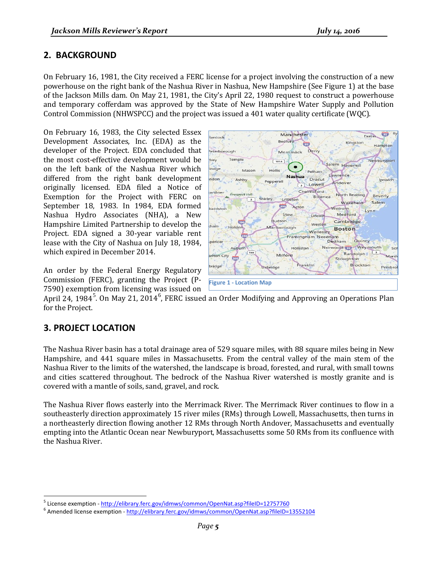# <span id="page-4-0"></span>**2. BACKGROUND**

On February 16, 1981, the City received a FERC license for a project involving the construction of a new powerhouse on the right bank of the Nashua River in Nashua, New Hampshire (See Figure 1) at the base of the Jackson Mills dam. On May 21, 1981, the City's April 22, 1980 request to construct a powerhouse and temporary cofferdam was approved by the State of New Hampshire Water Supply and Pollution Control Commission (NHWSPCC) and the project was issued a 401 water quality certificate (WQC).

On February 16, 1983, the City selected Essex Development Associates, Inc. (EDA) as the developer of the Project. EDA concluded that the most cost-effective development would be on the left bank of the Nashua River which differed from the right bank development originally licensed. EDA filed a Notice of Exemption for the Project with FERC on September 18, 1983. In 1984, EDA formed Nashua Hydro Associates (NHA), a New Hampshire Limited Partnership to develop the Project. EDA signed a 30-year variable rent lease with the City of Nashua on July 18, 1984, which expired in December 2014.

An order by the Federal Energy Regulatory Commission (FERC), granting the Project (P-7590) exemption from licensing was issued on



April 24, 1984<sup>[5](#page-4-2)</sup>. On May 21, 2014<sup>[6](#page-4-3)</sup>, FERC issued an Order Modifying and Approving an Operations Plan for the Project.

# <span id="page-4-1"></span>**3. PROJECT LOCATION**

The Nashua River basin has a total drainage area of 529 square miles, with 88 square miles being in New Hampshire, and 441 square miles in Massachusetts. From the central valley of the main stem of the Nashua River to the limits of the watershed, the landscape is broad, forested, and rural, with small towns and cities scattered throughout. The bedrock of the Nashua River watershed is mostly granite and is covered with a mantle of soils, sand, gravel, and rock.

The Nashua River flows easterly into the Merrimack River. The Merrimack River continues to flow in a southeasterly direction approximately 15 river miles (RMs) through Lowell, Massachusetts, then turns in a northeasterly direction flowing another 12 RMs through North Andover, Massachusetts and eventually empting into the Atlantic Ocean near Newburyport, Massachusetts some 50 RMs from its confluence with the Nashua River.

<span id="page-4-3"></span><span id="page-4-2"></span><sup>&</sup>lt;sup>5</sup> License exemption - <http://elibrary.ferc.gov/idmws/common/OpenNat.asp?fileID=12757760><br><sup>6</sup> Amended license exemption - <http://elibrary.ferc.gov/idmws/common/OpenNat.asp?fileID=13552104>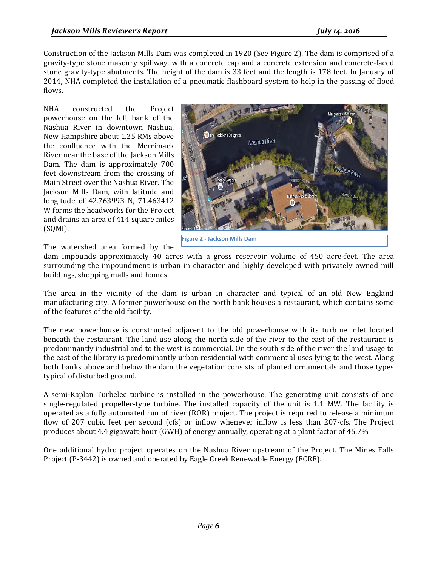Construction of the Jackson Mills Dam was completed in 1920 (See Figure 2). The dam is comprised of a gravity-type stone masonry spillway, with a concrete cap and a concrete extension and concrete-faced stone gravity-type abutments. The height of the dam is 33 feet and the length is 178 feet. In January of 2014, NHA completed the installation of a pneumatic flashboard system to help in the passing of flood flows.

NHA constructed the Project powerhouse on the left bank of the Nashua River in downtown Nashua, New Hampshire about 1.25 RMs above the confluence with the Merrimack River near the base of the Jackson Mills Dam. The dam is approximately 700 feet downstream from the crossing of Main Street over the Nashua River. The Jackson Mills Dam, with latitude and longitude of 42.763993 N, 71.463412 W forms the headworks for the Project and drains an area of 414 square miles (SQMI).



**Figure 2 - Jackson Mills Dam**

The watershed area formed by the dam impounds approximately 40 acres with a gross reservoir volume of 450 acre-feet. The area surrounding the impoundment is urban in character and highly developed with privately owned mill buildings, shopping malls and homes.

The area in the vicinity of the dam is urban in character and typical of an old New England manufacturing city. A former powerhouse on the north bank houses a restaurant, which contains some of the features of the old facility.

The new powerhouse is constructed adjacent to the old powerhouse with its turbine inlet located beneath the restaurant. The land use along the north side of the river to the east of the restaurant is predominantly industrial and to the west is commercial. On the south side of the river the land usage to the east of the library is predominantly urban residential with commercial uses lying to the west. Along both banks above and below the dam the vegetation consists of planted ornamentals and those types typical of disturbed ground.

A semi-Kaplan Turbelec turbine is installed in the powerhouse. The generating unit consists of one single-regulated propeller-type turbine. The installed capacity of the unit is 1.1 MW. The facility is operated as a fully automated run of river (ROR) project. The project is required to release a minimum flow of 207 cubic feet per second (cfs) or inflow whenever inflow is less than 207-cfs. The Project produces about 4.4 gigawatt-hour (GWH) of energy annually, operating at a plant factor of 45.7%

One additional hydro project operates on the Nashua River upstream of the Project. The Mines Falls Project (P-3442) is owned and operated by Eagle Creek Renewable Energy (ECRE).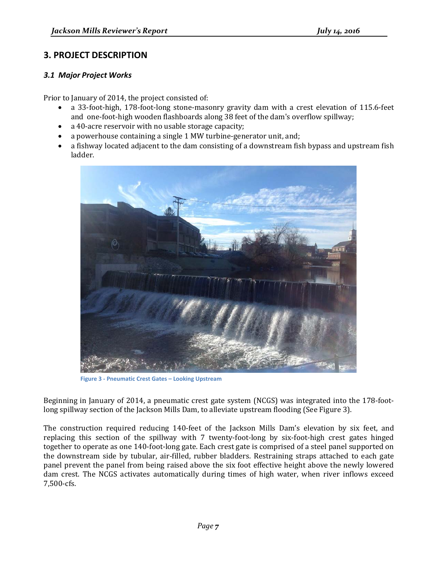# <span id="page-6-0"></span>**3. PROJECT DESCRIPTION**

#### <span id="page-6-1"></span>*3.1 Major Project Works*

Prior to January of 2014, the project consisted of:

- a 33-foot-high, 178-foot-long stone-masonry gravity dam with a crest elevation of 115.6-feet and one-foot-high wooden flashboards along 38 feet of the dam's overflow spillway;
- a 40-acre reservoir with no usable storage capacity;
- a powerhouse containing a single 1 MW turbine-generator unit, and;
- a fishway located adjacent to the dam consisting of a downstream fish bypass and upstream fish ladder.



**Figure 3 - Pneumatic Crest Gates – Looking Upstream**

Beginning in January of 2014, a pneumatic crest gate system (NCGS) was integrated into the 178-footlong spillway section of the Jackson Mills Dam, to alleviate upstream flooding (See Figure 3).

The construction required reducing 140-feet of the Jackson Mills Dam's elevation by six feet, and replacing this section of the spillway with 7 twenty-foot-long by six-foot-high crest gates hinged together to operate as one 140-foot-long gate. Each crest gate is comprised of a steel panel supported on the downstream side by tubular, air-filled, rubber bladders. Restraining straps attached to each gate panel prevent the panel from being raised above the six foot effective height above the newly lowered dam crest. The NCGS activates automatically during times of high water, when river inflows exceed 7,500-cfs.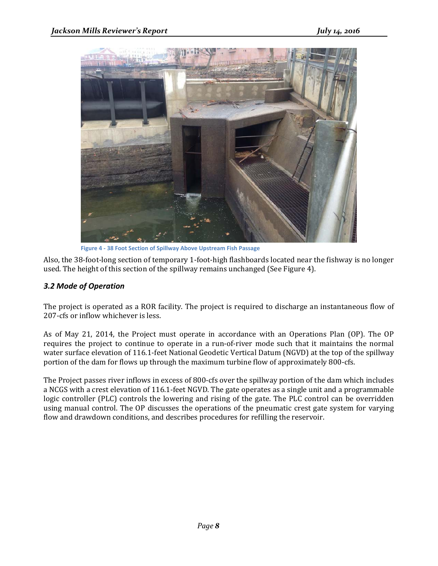

**Figure 4 - 38 Foot Section of Spillway Above Upstream Fish Passage**

Also, the 38-foot-long section of temporary 1-foot-high flashboards located near the fishway is no longer used. The height of this section of the spillway remains unchanged (See Figure 4).

#### <span id="page-7-0"></span>*3.2 Mode of Operation*

The project is operated as a ROR facility. The project is required to discharge an instantaneous flow of 207-cfs or inflow whichever is less.

As of May 21, 2014, the Project must operate in accordance with an Operations Plan (OP). The OP requires the project to continue to operate in a run-of-river mode such that it maintains the normal water surface elevation of 116.1-feet National Geodetic Vertical Datum (NGVD) at the top of the spillway portion of the dam for flows up through the maximum turbine flow of approximately 800-cfs.

The Project passes river inflows in excess of 800-cfs over the spillway portion of the dam which includes a NCGS with a crest elevation of 116.1-feet NGVD. The gate operates as a single unit and a programmable logic controller (PLC) controls the lowering and rising of the gate. The PLC control can be overridden using manual control. The OP discusses the operations of the pneumatic crest gate system for varying flow and drawdown conditions, and describes procedures for refilling the reservoir.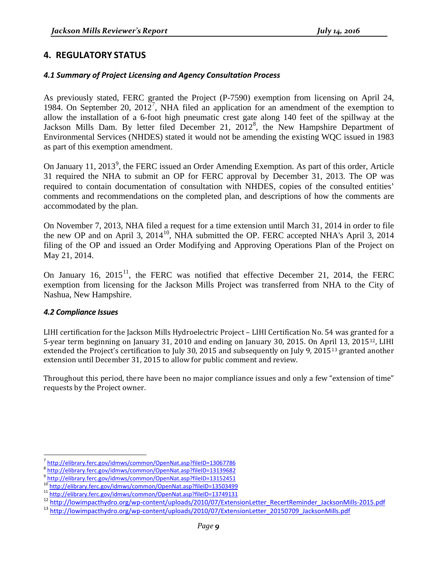## <span id="page-8-0"></span>**4. REGULATORY STATUS**

#### <span id="page-8-1"></span>*4.1 Summary of Project Licensing and Agency Consultation Process*

As previously stated, FERC granted the Project (P-7590) exemption from licensing on April 24, 1984. On September 20, 2012<sup>[7](#page-8-3)</sup>, NHA filed an application for an amendment of the exemption to allow the installation of a 6-foot high pneumatic crest gate along 140 feet of the spillway at the Jackson Mills Dam. By letter filed December 21, 2012<sup>[8](#page-8-4)</sup>, the New Hampshire Department of Environmental Services (NHDES) stated it would not be amending the existing WQC issued in 1983 as part of this exemption amendment.

On January 11, 2013<sup>[9](#page-8-5)</sup>, the FERC issued an Order Amending Exemption. As part of this order, Article 31 required the NHA to submit an OP for FERC approval by December 31, 2013. The OP was required to contain documentation of consultation with NHDES, copies of the consulted entities' comments and recommendations on the completed plan, and descriptions of how the comments are accommodated by the plan.

On November 7, 2013, NHA filed a request for a time extension until March 31, 2014 in order to file the new OP and on April 3, 2014<sup>10</sup>, NHA submitted the OP. FERC accepted NHA's April 3, 2014 filing of the OP and issued an Order Modifying and Approving Operations Plan of the Project on May 21, 2014.

On January 16,  $2015<sup>11</sup>$  $2015<sup>11</sup>$  $2015<sup>11</sup>$ , the FERC was notified that effective December 21, 2014, the FERC exemption from licensing for the Jackson Mills Project was transferred from NHA to the City of Nashua, New Hampshire.

#### <span id="page-8-2"></span>*4.2 Compliance Issues*

LIHI certification for the Jackson Mills Hydroelectric Project – LIHI Certification No. 54 was granted for a 5-year term beginning on January 31, 2010 and ending on January 30, 2015. On Ap[ril](#page-8-9) 13, 2015[12,](#page-8-8) LIHI extended the Project's certification to July 30, 2015 and subsequently on July 9, 2015<sup>13</sup> granted another extension until December 31, 2015 to allow for public comment and review.

Throughout this period, there have been no major compliance issues and only a few "extension of time" requests by the Project owner.

<span id="page-8-4"></span><span id="page-8-3"></span>

<sup>7</sup> <http://elibrary.ferc.gov/idmws/common/OpenNat.asp?fileID=13067786><br><sup>8</sup> <http://elibrary.ferc.gov/idmws/common/OpenNat.asp?fileID=13139682><br><sup>9</sup> http://elibrary.ferc.gov/idmws/common/OpenNat.asp?fileID=13152451

<span id="page-8-5"></span>

<span id="page-8-7"></span>

<span id="page-8-6"></span><sup>&</sup>lt;sup>10</sup><br><http://elibrary.ferc.gov/idmws/common/OpenNat.asp?fileID=13503499><br><sup>11</sup> <http://elibrary.ferc.gov/idmws/common/OpenNat.asp?fileID=13749131><br><sup>12</sup> http://lowimpacthydro.org/wp-content/uploads/2010/07/ExtensionLetter\_Recert

<span id="page-8-9"></span><span id="page-8-8"></span>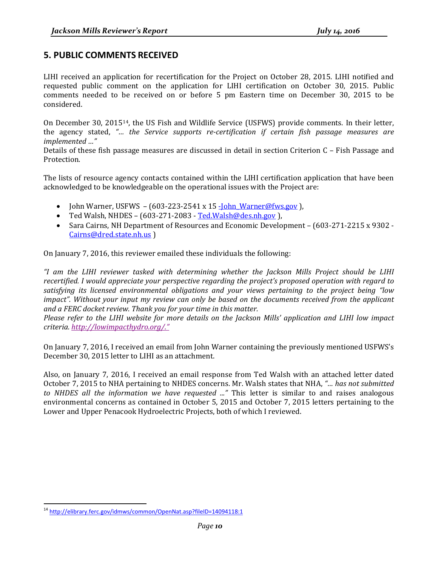## <span id="page-9-0"></span>**5. PUBLIC COMMENTS RECEIVED**

LIHI received an application for recertification for the Project on October 28, 2015. LIHI notified and requested public comment on the application for LIHI certification on October 30, 2015. Public comments needed to be received on or before 5 pm Eastern time on December 30, 2015 to be considered.

On December 30, 2015[14,](#page-9-1) the US Fish and Wildlife Service (USFWS) provide comments. In their letter, the agency stated, *"… the Service supports re-certification if certain fish passage measures are implemented …"*

Details of these fish passage measures are discussed in detail in section Criterion C – Fish Passage and [Protection.](#page-11-1)

The lists of resource agency contacts contained within the LIHI certification application that have been acknowledged to be knowledgeable on the operational issues with the Project are:

- John Warner, USFWS  $(603-223-2541 \times 15 \frac{John Warner@fws.gov}$  ),
- Ted Walsh, NHDES  $(603-271-2083 Ted.Walsh@des.nh.gov)$  $(603-271-2083 Ted.Walsh@des.nh.gov)$  $(603-271-2083 Ted.Walsh@des.nh.gov)$ .
- Sara Cairns, NH Department of Resources and Economic Development (603-271-2215 x 9302 [Cairns@dred.state.nh.us](mailto:Cairns@dred.state.nh.us) )

On January 7, 2016, this reviewer emailed these individuals the following:

*"I am the LIHI reviewer tasked with determining whether the Jackson Mills Project should be LIHI recertified. I would appreciate your perspective regarding the project's proposed operation with regard to satisfying its licensed environmental obligations and your views pertaining to the project being "low*  impact". Without your input my review can only be based on the documents received from the applicant *and a FERC docket review. Thank you for your time in this matter.* 

*Please refer to the LIHI website for more details on the Jackson Mills' application and LIHI low impact criteria. [http://lowimpacthydro.org/."](http://lowimpacthydro.org/)*

On January 7, 2016, I received an email from John Warner containing the previously mentioned USFWS's December 30, 2015 letter to LIHI as an attachment.

Also, on January 7, 2016, I received an email response from Ted Walsh with an attached letter dated October 7, 2015 to NHA pertaining to NHDES concerns. Mr. Walsh states that NHA, *"… has not submitted to NHDES all the information we have requested ..."* This letter is similar to and raises analogous environmental concerns as contained in October 5, 2015 and October 7, 2015 letters pertaining to the Lower and Upper Penacook Hydroelectric Projects, both of which I reviewed.

<span id="page-9-1"></span> <sup>14</sup> <http://elibrary.ferc.gov/idmws/common/OpenNat.asp?fileID=14094118:1>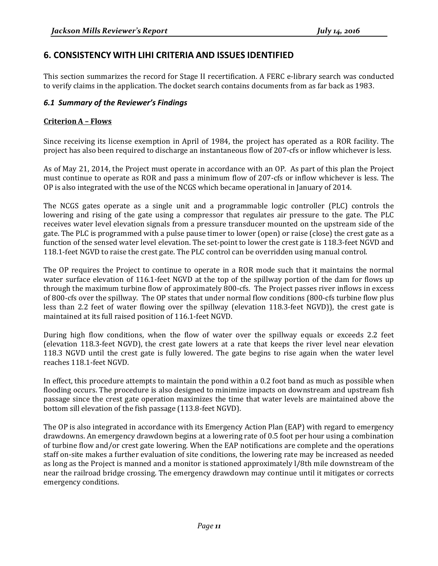# <span id="page-10-0"></span>**6. CONSISTENCY WITH LIHI CRITERIA AND ISSUES IDENTIFIED**

This section summarizes the record for Stage II recertification. A FERC e-library search was conducted to verify claims in the application. The docket search contains documents from as far back as 1983.

#### <span id="page-10-1"></span>*6.1 Summary of the Reviewer's Findings*

#### <span id="page-10-2"></span>**Criterion A – Flows**

Since receiving its license exemption in April of 1984, the project has operated as a ROR facility. The project has also been required to discharge an instantaneous flow of 207-cfs or inflow whichever is less.

As of May 21, 2014, the Project must operate in accordance with an OP. As part of this plan the Project must continue to operate as ROR and pass a minimum flow of 207-cfs or inflow whichever is less. The OP is also integrated with the use of the NCGS which became operational in January of 2014.

The NCGS gates operate as a single unit and a programmable logic controller (PLC) controls the lowering and rising of the gate using a compressor that regulates air pressure to the gate. The PLC receives water level elevation signals from a pressure transducer mounted on the upstream side of the gate. The PLC is programmed with a pulse pause timer to lower (open) or raise (close) the crest gate as a function of the sensed water level elevation. The set-point to lower the crest gate is 118.3-feet NGVD and 118.1-feet NGVD to raise the crest gate. The PLC control can be overridden using manual control.

The OP requires the Project to continue to operate in a ROR mode such that it maintains the normal water surface elevation of 116.1-feet NGVD at the top of the spillway portion of the dam for flows up through the maximum turbine flow of approximately 800-cfs. The Project passes river inflows in excess of 800-cfs over the spillway. The OP states that under normal flow conditions (800-cfs turbine flow plus less than 2.2 feet of water flowing over the spillway (elevation 118.3-feet NGVD)), the crest gate is maintained at its full raised position of 116.1-feet NGVD.

During high flow conditions, when the flow of water over the spillway equals or exceeds 2.2 feet (elevation 118.3-feet NGVD), the crest gate lowers at a rate that keeps the river level near elevation 118.3 NGVD until the crest gate is fully lowered. The gate begins to rise again when the water level reaches 118.1-feet NGVD.

In effect, this procedure attempts to maintain the pond within a 0.2 foot band as much as possible when flooding occurs. The procedure is also designed to minimize impacts on downstream and upstream fish passage since the crest gate operation maximizes the time that water levels are maintained above the bottom sill elevation of the fish passage (113.8-feet NGVD).

The OP is also integrated in accordance with its Emergency Action Plan (EAP) with regard to emergency drawdowns. An emergency drawdown begins at a lowering rate of 0.5 foot per hour using a combination of turbine flow and/or crest gate lowering. When the EAP notifications are complete and the operations staff on-site makes a further evaluation of site conditions, the lowering rate may be increased as needed as long as the Project is manned and a monitor is stationed approximately l/8th mile downstream of the near the railroad bridge crossing. The emergency drawdown may continue until it mitigates or corrects emergency conditions.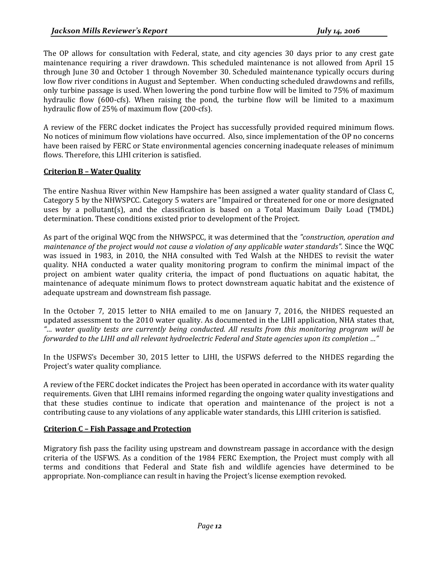The OP allows for consultation with Federal, state, and city agencies 30 days prior to any crest gate maintenance requiring a river drawdown. This scheduled maintenance is not allowed from April 15 through June 30 and October 1 through November 30. Scheduled maintenance typically occurs during low flow river conditions in August and September. When conducting scheduled drawdowns and refills, only turbine passage is used. When lowering the pond turbine flow will be limited to 75% of maximum hydraulic flow (600-cfs). When raising the pond, the turbine flow will be limited to a maximum hydraulic flow of 25% of maximum flow (200-cfs).

A review of the FERC docket indicates the Project has successfully provided required minimum flows. No notices of minimum flow violations have occurred. Also, since implementation of the OP no concerns have been raised by FERC or State environmental agencies concerning inadequate releases of minimum flows. Therefore, this LIHI criterion is satisfied.

#### <span id="page-11-0"></span>**Criterion B – Water Quality**

The entire Nashua River within New Hampshire has been assigned a water quality standard of Class C, Category 5 by the NHWSPCC. Category 5 waters are "Impaired or threatened for one or more designated uses by a pollutant(s), and the classification is based on a Total Maximum Daily Load (TMDL) determination. These conditions existed prior to development of the Project.

As part of the original WQC from the NHWSPCC, it was determined that the *"construction, operation and maintenance of the project would not cause a violation of any applicable water standards".* Since the WQC was issued in 1983, in 2010, the NHA consulted with Ted Walsh at the NHDES to revisit the water quality. NHA conducted a water quality monitoring program to confirm the minimal impact of the project on ambient water quality criteria, the impact of pond fluctuations on aquatic habitat, the maintenance of adequate minimum flows to protect downstream aquatic habitat and the existence of adequate upstream and downstream fish passage.

In the October 7, 2015 letter to NHA emailed to me on January 7, 2016, the NHDES requested an updated assessment to the 2010 water quality. As documented in the LIHI application, NHA states that, *"… water quality tests are currently being conducted. All results from this monitoring program will be forwarded to the LIHI and all relevant hydroelectric Federal and State agencies upon its completion …"* 

In the USFWS's December 30, 2015 letter to LIHI, the USFWS deferred to the NHDES regarding the Project's water quality compliance.

A review of the FERC docket indicates the Project has been operated in accordance with its water quality requirements. Given that LIHI remains informed regarding the ongoing water quality investigations and that these studies continue to indicate that operation and maintenance of the project is not a contributing cause to any violations of any applicable water standards, this LIHI criterion is satisfied.

#### <span id="page-11-1"></span>**Criterion C – Fish Passage and Protection**

Migratory fish pass the facility using upstream and downstream passage in accordance with the design criteria of the USFWS. As a condition of the 1984 FERC Exemption, the Project must comply with all terms and conditions that Federal and State fish and wildlife agencies have determined to be appropriate. Non-compliance can result in having the Project's license exemption revoked.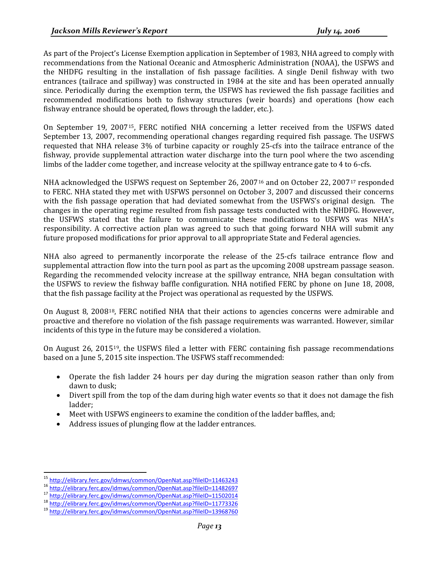As part of the Project's License Exemption application in September of 1983, NHA agreed to comply with recommendations from the National Oceanic and Atmospheric Administration (NOAA), the USFWS and the NHDFG resulting in the installation of fish passage facilities. A single Denil fishway with two entrances (tailrace and spillway) was constructed in 1984 at the site and has been operated annually since. Periodically during the exemption term, the USFWS has reviewed the fish passage facilities and recommended modifications both to fishway structures (weir boards) and operations (how each fishway entrance should be operated, flows through the ladder, etc.).

On September 19, 2007[15,](#page-12-0) FERC notified NHA concerning a letter received from the USFWS dated September 13, 2007, recommending operational changes regarding required fish passage. The USFWS requested that NHA release 3% of turbine capacity or roughly 25-cfs into the tailrace entrance of the fishway, provide supplemental attraction water discharge into the turn pool where the two ascending limbs of the ladder come together, and increase velocity at the spillway entrance gate to 4 to 6-cfs.

NHA acknowledged the USFWS request on September 26, 2007<sup>[16](#page-12-1)</sup> and on October 22, 2007<sup>[17](#page-12-2)</sup> responded to FERC. NHA stated they met with USFWS personnel on October 3, 2007 and discussed their concerns with the fish passage operation that had deviated somewhat from the USFWS's original design. The changes in the operating regime resulted from fish passage tests conducted with the NHDFG. However, the USFWS stated that the failure to communicate these modifications to USFWS was NHA's responsibility. A corrective action plan was agreed to such that going forward NHA will submit any future proposed modifications for prior approval to all appropriate State and Federal agencies.

NHA also agreed to permanently incorporate the release of the 25-cfs tailrace entrance flow and supplemental attraction flow into the turn pool as part as the upcoming 2008 upstream passage season. Regarding the recommended velocity increase at the spillway entrance, NHA began consultation with the USFWS to review the fishway baffle configuration. NHA notified FERC by phone on June 18, 2008, that the fish passage facility at the Project was operational as requested by the USFWS.

On August 8, 2008[18](#page-12-3), FERC notified NHA that their actions to agencies concerns were admirable and proactive and therefore no violation of the fish passage requirements was warranted. However, similar incidents of this type in the future may be considered a violation.

On August 26, 2015[19,](#page-12-4) the USFWS filed a letter with FERC containing fish passage recommendations based on a June 5, 2015 site inspection. The USFWS staff recommended:

- Operate the fish ladder 24 hours per day during the migration season rather than only from dawn to dusk;
- Divert spill from the top of the dam during high water events so that it does not damage the fish ladder;
- Meet with USFWS engineers to examine the condition of the ladder baffles, and;
- Address issues of plunging flow at the ladder entrances.

<span id="page-12-1"></span><span id="page-12-0"></span><sup>&</sup>lt;sup>15</sup> <http://elibrary.ferc.gov/idmws/common/OpenNat.asp?fileID=11463243><br>
<sup>16</sup> <http://elibrary.ferc.gov/idmws/common/OpenNat.asp?fileID=11482697><br>
<sup>17</sup> <http://elibrary.ferc.gov/idmws/common/OpenNat.asp?fileID=11502014><br>
<sup>18</sup>

<span id="page-12-2"></span>

<span id="page-12-3"></span>

<span id="page-12-4"></span>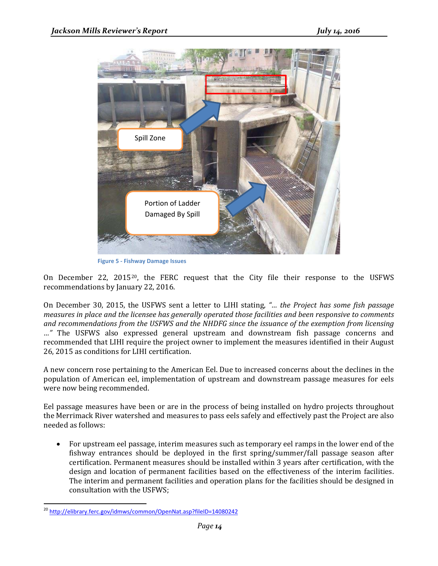

**Figure 5 - Fishway Damage Issues**

On December 22, 2015[20,](#page-13-0) the FERC request that the City file their response to the USFWS recommendations by January 22, 2016.

On December 30, 2015, the USFWS sent a letter to LIHI stating, *"… the Project has some fish passage measures in place and the licensee has generally operated those facilities and been responsive to comments and recommendations from the USFWS and the NHDFG since the issuance of the exemption from licensing …"* The USFWS also expressed general upstream and downstream fish passage concerns and recommended that LIHI require the project owner to implement the measures identified in their August 26, 2015 as conditions for LIHI certification.

A new concern rose pertaining to the American Eel. Due to increased concerns about the declines in the population of American eel, implementation of upstream and downstream passage measures for eels were now being recommended.

Eel passage measures have been or are in the process of being installed on hydro projects throughout the Merrimack River watershed and measures to pass eels safely and effectively past the Project are also needed as follows:

• For upstream eel passage, interim measures such as temporary eel ramps in the lower end of the fishway entrances should be deployed in the first spring/summer/fall passage season after certification. Permanent measures should be installed within 3 years after certification, with the design and location of permanent facilities based on the effectiveness of the interim facilities. The interim and permanent facilities and operation plans for the facilities should be designed in consultation with the USFWS;

<span id="page-13-0"></span> <sup>20</sup> <http://elibrary.ferc.gov/idmws/common/OpenNat.asp?fileID=14080242>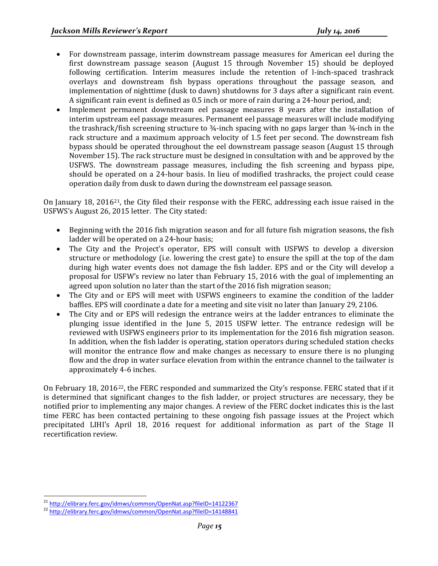- For downstream passage, interim downstream passage measures for American eel during the first downstream passage season (August 15 through November 15) should be deployed following certification. Interim measures include the retention of l-inch-spaced trashrack overlays and downstream fish bypass operations throughout the passage season, and implementation of nighttime (dusk to dawn) shutdowns for 3 days after a significant rain event. A significant rain event is defined as 0.5 inch or more of rain during a 24-hour period, and;
- Implement permanent downstream eel passage measures 8 years after the installation of interim upstream eel passage measures. Permanent eel passage measures will include modifying the trashrack/fish screening structure to ¾-inch spacing with no gaps larger than ¾-inch in the rack structure and a maximum approach velocity of 1.5 feet per second. The downstream fish bypass should be operated throughout the eel downstream passage season (August 15 through November 15). The rack structure must be designed in consultation with and be approved by the USFWS. The downstream passage measures, including the fish screening and bypass pipe, should be operated on a 24-hour basis. In lieu of modified trashracks, the project could cease operation daily from dusk to dawn during the downstream eel passage season.

On January 18, 2016[21,](#page-14-0) the City filed their response with the FERC, addressing each issue raised in the USFWS's August 26, 2015 letter. The City stated:

- Beginning with the 2016 fish migration season and for all future fish migration seasons, the fish ladder will be operated on a 24-hour basis;
- The City and the Project's operator, EPS will consult with USFWS to develop a diversion structure or methodology (i.e. lowering the crest gate) to ensure the spill at the top of the dam during high water events does not damage the fish ladder. EPS and or the City will develop a proposal for USFW's review no later than February 15, 2016 with the goal of implementing an agreed upon solution no later than the start of the 2016 fish migration season;
- The City and or EPS will meet with USFWS engineers to examine the condition of the ladder baffles. EPS will coordinate a date for a meeting and site visit no later than January 29, 2106.
- The City and or EPS will redesign the entrance weirs at the ladder entrances to eliminate the plunging issue identified in the June 5, 2015 USFW letter. The entrance redesign will be reviewed with USFWS engineers prior to its implementation for the 2016 fish migration season. In addition, when the fish ladder is operating, station operators during scheduled station checks will monitor the entrance flow and make changes as necessary to ensure there is no plunging flow and the drop in water surface elevation from within the entrance channel to the tailwater is approximately 4-6 inches.

On February 18, 2016[22](#page-14-1), the FERC responded and summarized the City's response. FERC stated that if it is determined that significant changes to the fish ladder, or project structures are necessary, they be notified prior to implementing any major changes. A review of the FERC docket indicates this is the last time FERC has been contacted pertaining to these ongoing fish passage issues at the Project which precipitated LIHI's April 18, 2016 request for additional information as part of the Stage II recertification review.

<span id="page-14-0"></span><sup>&</sup>lt;sup>21</sup> <http://elibrary.ferc.gov/idmws/common/OpenNat.asp?fileID=14122367><br><sup>22</sup> http://elibrary.ferc.gov/id<u>mws/common/OpenNat.asp?fileID=14148841</u>

<span id="page-14-1"></span>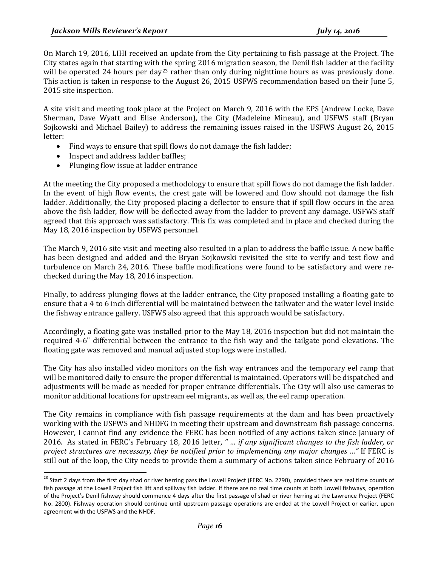On March 19, 2016, LIHI received an update from the City pertaining to fish passage at the Project. The City states again that starting with the spring 2016 migration season, the Denil fish ladder at the facility will be operated 24 hours per day<sup>[23](#page-15-0)</sup> rather than only during nighttime hours as was previously done. This action is taken in response to the August 26, 2015 USFWS recommendation based on their June 5, 2015 site inspection.

A site visit and meeting took place at the Project on March 9, 2016 with the EPS (Andrew Locke, Dave Sherman, Dave Wyatt and Elise Anderson), the City (Madeleine Mineau), and USFWS staff (Bryan Sojkowski and Michael Bailey) to address the remaining issues raised in the USFWS August 26, 2015 letter:

- Find ways to ensure that spill flows do not damage the fish ladder;
- Inspect and address ladder baffles;
- Plunging flow issue at ladder entrance

At the meeting the City proposed a methodology to ensure that spill flows do not damage the fish ladder. In the event of high flow events, the crest gate will be lowered and flow should not damage the fish ladder. Additionally, the City proposed placing a deflector to ensure that if spill flow occurs in the area above the fish ladder, flow will be deflected away from the ladder to prevent any damage. USFWS staff agreed that this approach was satisfactory. This fix was completed and in place and checked during the May 18, 2016 inspection by USFWS personnel.

The March 9, 2016 site visit and meeting also resulted in a plan to address the baffle issue. A new baffle has been designed and added and the Bryan Sojkowski revisited the site to verify and test flow and turbulence on March 24, 2016. These baffle modifications were found to be satisfactory and were rechecked during the May 18, 2016 inspection.

Finally, to address plunging flows at the ladder entrance, the City proposed installing a floating gate to ensure that a 4 to 6 inch differential will be maintained between the tailwater and the water level inside the fishway entrance gallery. USFWS also agreed that this approach would be satisfactory.

Accordingly, a floating gate was installed prior to the May 18, 2016 inspection but did not maintain the required 4-6" differential between the entrance to the fish way and the tailgate pond elevations. The floating gate was removed and manual adjusted stop logs were installed.

The City has also installed video monitors on the fish way entrances and the temporary eel ramp that will be monitored daily to ensure the proper differential is maintained. Operators will be dispatched and adjustments will be made as needed for proper entrance differentials. The City will also use cameras to monitor additional locations for upstream eel migrants, as well as, the eel ramp operation.

The City remains in compliance with fish passage requirements at the dam and has been proactively working with the USFWS and NHDFG in meeting their upstream and downstream fish passage concerns. However, I cannot find any evidence the FERC has been notified of any actions taken since January of 2016. As stated in FERC's February 18, 2016 letter, *" … if any significant changes to the fish ladder, or project structures are necessary, they be notified prior to implementing any major changes …"* If FERC is still out of the loop, the City needs to provide them a summary of actions taken since February of 2016

<span id="page-15-0"></span><sup>&</sup>lt;sup>23</sup> Start 2 days from the first day shad or river herring pass the Lowell Project (FERC No. 2790), provided there are real time counts of fish passage at the Lowell Project fish lift and spillway fish ladder. If there are no real time counts at both Lowell fishways, operation of the Project's Denil fishway should commence 4 days after the first passage of shad or river herring at the Lawrence Project (FERC No. 2800). Fishway operation should continue until upstream passage operations are ended at the Lowell Project or earlier, upon agreement with the USFWS and the NHDF.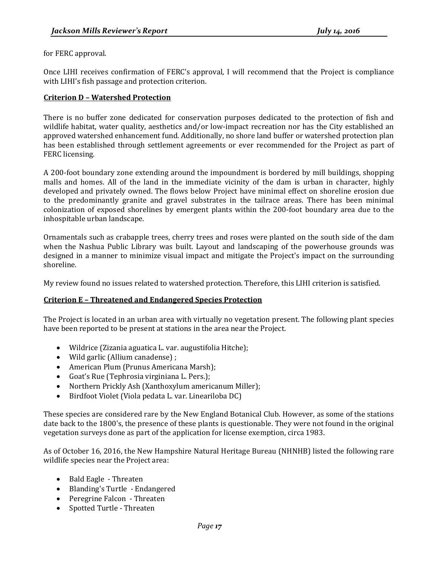for FERC approval.

Once LIHI receives confirmation of FERC's approval, I will recommend that the Project is compliance with LIHI's fish passage and protection criterion.

#### <span id="page-16-0"></span>**Criterion D – Watershed Protection**

There is no buffer zone dedicated for conservation purposes dedicated to the protection of fish and wildlife habitat, water quality, aesthetics and/or low-impact recreation nor has the City established an approved watershed enhancement fund. Additionally, no shore land buffer or watershed protection plan has been established through settlement agreements or ever recommended for the Project as part of FERC licensing.

A 200-foot boundary zone extending around the impoundment is bordered by mill buildings, shopping malls and homes. All of the land in the immediate vicinity of the dam is urban in character, highly developed and privately owned. The flows below Project have minimal effect on shoreline erosion due to the predominantly granite and gravel substrates in the tailrace areas. There has been minimal colonization of exposed shorelines by emergent plants within the 200-foot boundary area due to the inhospitable urban landscape.

Ornamentals such as crabapple trees, cherry trees and roses were planted on the south side of the dam when the Nashua Public Library was built. Layout and landscaping of the powerhouse grounds was designed in a manner to minimize visual impact and mitigate the Project's impact on the surrounding shoreline.

My review found no issues related to watershed protection. Therefore, this LIHI criterion is satisfied.

#### <span id="page-16-1"></span>**Criterion E – Threatened and Endangered Species Protection**

The Project is located in an urban area with virtually no vegetation present. The following plant species have been reported to be present at stations in the area near the Project.

- Wildrice (Zizania aguatica L. var. augustifolia Hitche);
- Wild garlic (Allium canadense) ;
- American Plum (Prunus Americana Marsh);
- Goat's Rue (Tephrosia virginiana L. Pers.);
- Northern Prickly Ash (Xanthoxylum americanum Miller);
- Birdfoot Violet (Viola pedata L. var. Lineariloba DC)

These species are considered rare by the New England Botanical Club. However, as some of the stations date back to the 1800's, the presence of these plants is questionable. They were not found in the original vegetation surveys done as part of the application for license exemption, circa 1983.

As of October 16, 2016, the New Hampshire Natural Heritage Bureau (NHNHB) listed the following rare wildlife species near the Project area:

- Bald Eagle Threaten
- Blanding's Turtle Endangered
- Peregrine Falcon Threaten
- Spotted Turtle Threaten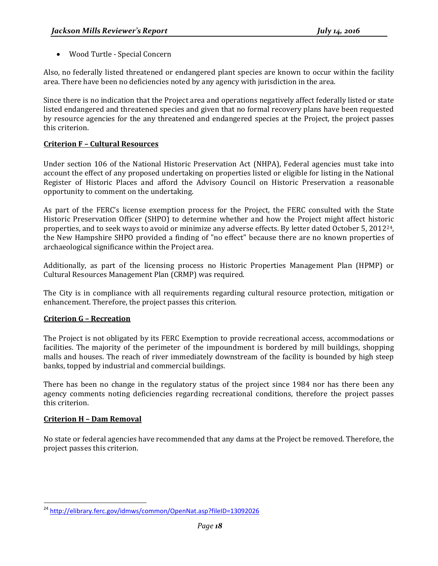• Wood Turtle - Special Concern

Also, no federally listed threatened or endangered plant species are known to occur within the facility area. There have been no deficiencies noted by any agency with jurisdiction in the area.

Since there is no indication that the Project area and operations negatively affect federally listed or state listed endangered and threatened species and given that no formal recovery plans have been requested by resource agencies for the any threatened and endangered species at the Project, the project passes this criterion.

#### <span id="page-17-0"></span>**Criterion F – Cultural Resources**

Under section 106 of the National Historic Preservation Act (NHPA), Federal agencies must take into account the effect of any proposed undertaking on properties listed or eligible for listing in the National Register of Historic Places and afford the Advisory Council on Historic Preservation a reasonable opportunity to comment on the undertaking.

As part of the FERC's license exemption process for the Project, the FERC consulted with the State Historic Preservation Officer (SHPO) to determine whether and how the Project might affect historic properties, and to seek ways to avoid or minimize any adverse effects. By letter dated October 5, 2012[24,](#page-17-3) the New Hampshire SHPO provided a finding of "no effect" because there are no known properties of archaeological significance within the Project area.

Additionally, as part of the licensing process no Historic Properties Management Plan (HPMP) or Cultural Resources Management Plan (CRMP) was required.

The City is in compliance with all requirements regarding cultural resource protection, mitigation or enhancement. Therefore, the project passes this criterion.

#### <span id="page-17-1"></span>**Criterion G – Recreation**

The Project is not obligated by its FERC Exemption to provide recreational access, accommodations or facilities. The majority of the perimeter of the impoundment is bordered by mill buildings, shopping malls and houses. The reach of river immediately downstream of the facility is bounded by high steep banks, topped by industrial and commercial buildings.

There has been no change in the regulatory status of the project since 1984 nor has there been any agency comments noting deficiencies regarding recreational conditions, therefore the project passes this criterion.

#### <span id="page-17-2"></span>**Criterion H – Dam Removal**

No state or federal agencies have recommended that any dams at the Project be removed. Therefore, the project passes this criterion.

<span id="page-17-3"></span><sup>&</sup>lt;sup>24</sup> <http://elibrary.ferc.gov/idmws/common/OpenNat.asp?fileID=13092026>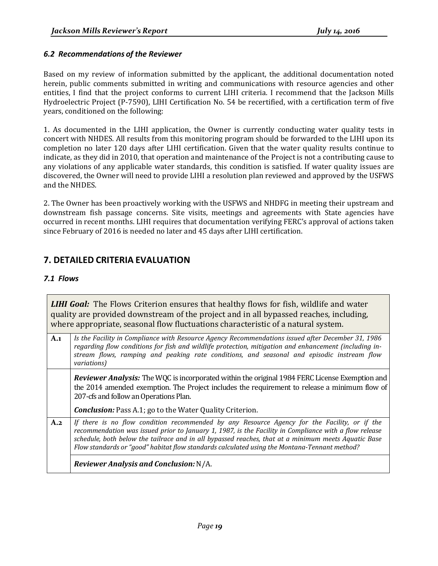#### <span id="page-18-0"></span>*6.2 Recommendations of the Reviewer*

Based on my review of information submitted by the applicant, the additional documentation noted herein, public comments submitted in writing and communications with resource agencies and other entities, I find that the project conforms to current LIHI criteria. I recommend that the Jackson Mills Hydroelectric Project (P-7590), LIHI Certification No. 54 be recertified, with a certification term of five years, conditioned on the following:

1. As documented in the LIHI application, the Owner is currently conducting water quality tests in concert with NHDES. All results from this monitoring program should be forwarded to the LIHI upon its completion no later 120 days after LIHI certification. Given that the water quality results continue to indicate, as they did in 2010, that operation and maintenance of the Project is not a contributing cause to any violations of any applicable water standards, this condition is satisfied. If water quality issues are discovered, the Owner will need to provide LIHI a resolution plan reviewed and approved by the USFWS and the NHDES.

2. The Owner has been proactively working with the USFWS and NHDFG in meeting their upstream and downstream fish passage concerns. Site visits, meetings and agreements with State agencies have occurred in recent months. LIHI requires that documentation verifying FERC's approval of actions taken since February of 2016 is needed no later and 45 days after LIHI certification.

# **7. DETAILED CRITERIA EVALUATION**

#### <span id="page-18-1"></span>*7.1 Flows*

|     | <b>LIHI Goal:</b> The Flows Criterion ensures that healthy flows for fish, wildlife and water<br>quality are provided downstream of the project and in all bypassed reaches, including,<br>where appropriate, seasonal flow fluctuations characteristic of a natural system.                                                                                                                                 |
|-----|--------------------------------------------------------------------------------------------------------------------------------------------------------------------------------------------------------------------------------------------------------------------------------------------------------------------------------------------------------------------------------------------------------------|
| A.1 | Is the Facility in Compliance with Resource Agency Recommendations issued after December 31, 1986<br>regarding flow conditions for fish and wildlife protection, mitigation and enhancement (including in-<br>stream flows, ramping and peaking rate conditions, and seasonal and episodic instream flow<br>variations)                                                                                      |
|     | <b>Reviewer Analysis:</b> The WQC is incorporated within the original 1984 FERC License Exemption and<br>the 2014 amended exemption. The Project includes the requirement to release a minimum flow of<br>207-cfs and follow an Operations Plan.<br><b>Conclusion:</b> Pass A.1; go to the Water Quality Criterion.                                                                                          |
| A.2 | If there is no flow condition recommended by any Resource Agency for the Facility, or if the<br>recommendation was issued prior to January 1, 1987, is the Facility in Compliance with a flow release<br>schedule, both below the tailrace and in all bypassed reaches, that at a minimum meets Aquatic Base<br>Flow standards or "good" habitat flow standards calculated using the Montana-Tennant method? |
|     | <b>Reviewer Analysis and Conclusion: N/A.</b>                                                                                                                                                                                                                                                                                                                                                                |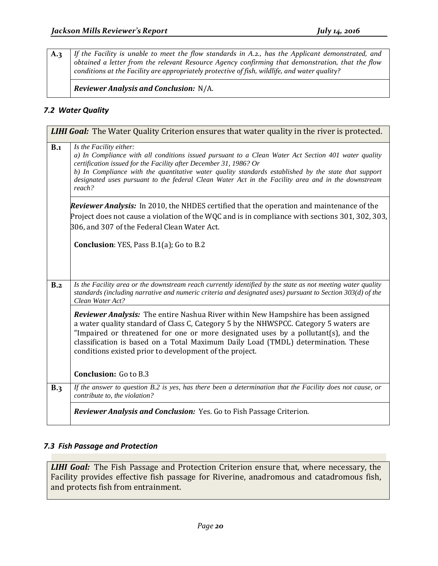**A.3** *If the Facility is unable to meet the flow standards in A.2., has the Applicant demonstrated, and obtained a letter from the relevant Resource Agency confirming that demonstration, that the flow conditions at the Facility are appropriately protective of fish, wildlife, and water quality?*

*Reviewer Analysis and Conclusion:* N/A.

#### <span id="page-19-0"></span>*7.2 Water Quality*

|     | <b>LIHI Goal:</b> The Water Quality Criterion ensures that water quality in the river is protected.                                                                                                                                                                                                                                                                                                                         |
|-----|-----------------------------------------------------------------------------------------------------------------------------------------------------------------------------------------------------------------------------------------------------------------------------------------------------------------------------------------------------------------------------------------------------------------------------|
| B.1 | Is the Facility either:<br>a) In Compliance with all conditions issued pursuant to a Clean Water Act Section 401 water quality<br>certification issued for the Facility after December 31, 1986? Or<br>b) In Compliance with the quantitative water quality standards established by the state that support<br>designated uses pursuant to the federal Clean Water Act in the Facility area and in the downstream<br>reach? |
|     | Reviewer Analysis: In 2010, the NHDES certified that the operation and maintenance of the<br>Project does not cause a violation of the WQC and is in compliance with sections 301, 302, 303,<br>306, and 307 of the Federal Clean Water Act.                                                                                                                                                                                |
|     | <b>Conclusion:</b> YES, Pass B.1(a); Go to B.2                                                                                                                                                                                                                                                                                                                                                                              |
| B.2 | Is the Facility area or the downstream reach currently identified by the state as not meeting water quality<br>standards (including narrative and numeric criteria and designated uses) pursuant to Section 303(d) of the<br>Clean Water Act?                                                                                                                                                                               |
|     | Reviewer Analysis: The entire Nashua River within New Hampshire has been assigned<br>a water quality standard of Class C, Category 5 by the NHWSPCC. Category 5 waters are<br>"Impaired or threatened for one or more designated uses by a pollutant(s), and the<br>classification is based on a Total Maximum Daily Load (TMDL) determination. These<br>conditions existed prior to development of the project.            |
|     | <b>Conclusion:</b> Go to B.3                                                                                                                                                                                                                                                                                                                                                                                                |
| B.3 | If the answer to question B.2 is yes, has there been a determination that the Facility does not cause, or<br>contribute to, the violation?                                                                                                                                                                                                                                                                                  |
|     | Reviewer Analysis and Conclusion: Yes. Go to Fish Passage Criterion.                                                                                                                                                                                                                                                                                                                                                        |

#### <span id="page-19-1"></span>*7.3 Fish Passage and Protection*

*LIHI Goal:* The Fish Passage and Protection Criterion ensure that, where necessary, the Facility provides effective fish passage for Riverine, anadromous and catadromous fish, and protects fish from entrainment.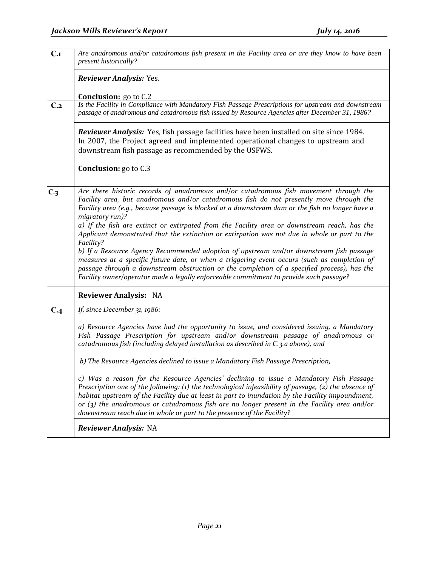| $C_{.1}$        | Are anadromous and/or catadromous fish present in the Facility area or are they know to have been<br>present historically?                                                                                                                                                                                                                                                                                                                                                                               |
|-----------------|----------------------------------------------------------------------------------------------------------------------------------------------------------------------------------------------------------------------------------------------------------------------------------------------------------------------------------------------------------------------------------------------------------------------------------------------------------------------------------------------------------|
|                 | Reviewer Analysis: Yes.                                                                                                                                                                                                                                                                                                                                                                                                                                                                                  |
|                 | <b>Conclusion:</b> go to C.2                                                                                                                                                                                                                                                                                                                                                                                                                                                                             |
| C <sub>.2</sub> | Is the Facility in Compliance with Mandatory Fish Passage Prescriptions for upstream and downstream<br>passage of anadromous and catadromous fish issued by Resource Agencies after December 31, 1986?                                                                                                                                                                                                                                                                                                   |
|                 | Reviewer Analysis: Yes, fish passage facilities have been installed on site since 1984.<br>In 2007, the Project agreed and implemented operational changes to upstream and<br>downstream fish passage as recommended by the USFWS.                                                                                                                                                                                                                                                                       |
|                 | Conclusion: go to C.3                                                                                                                                                                                                                                                                                                                                                                                                                                                                                    |
| C <sub>3</sub>  | Are there historic records of anadromous and/or catadromous fish movement through the<br>Facility area, but anadromous and/or catadromous fish do not presently move through the<br>Facility area (e.g., because passage is blocked at a downstream dam or the fish no longer have a<br>migratory run)?<br>a) If the fish are extinct or extirpated from the Facility area or downstream reach, has the<br>Applicant demonstrated that the extinction or extirpation was not due in whole or part to the |
|                 | Facility?<br>b) If a Resource Agency Recommended adoption of upstream and/or downstream fish passage<br>measures at a specific future date, or when a triggering event occurs (such as completion of<br>passage through a downstream obstruction or the completion of a specified process), has the<br>Facility owner/operator made a legally enforceable commitment to provide such passage?                                                                                                            |
|                 | <b>Reviewer Analysis: NA</b>                                                                                                                                                                                                                                                                                                                                                                                                                                                                             |
| C.4             | If, since December 31, 1986:                                                                                                                                                                                                                                                                                                                                                                                                                                                                             |
|                 | a) Resource Agencies have had the opportunity to issue, and considered issuing, a Mandatory<br>Fish Passage Prescription for upstream and/or downstream passage of anadromous or<br>catadromous fish (including delayed installation as described in C.3.a above), and                                                                                                                                                                                                                                   |
|                 | b) The Resource Agencies declined to issue a Mandatory Fish Passage Prescription,                                                                                                                                                                                                                                                                                                                                                                                                                        |
|                 | c) Was a reason for the Resource Agencies' declining to issue a Mandatory Fish Passage<br>Prescription one of the following: (1) the technological infeasibility of passage, (2) the absence of<br>habitat upstream of the Facility due at least in part to inundation by the Facility impoundment,<br>or $(3)$ the anadromous or catadromous fish are no longer present in the Facility area and/or<br>downstream reach due in whole or part to the presence of the Facility?                           |
|                 | Reviewer Analysis: NA                                                                                                                                                                                                                                                                                                                                                                                                                                                                                    |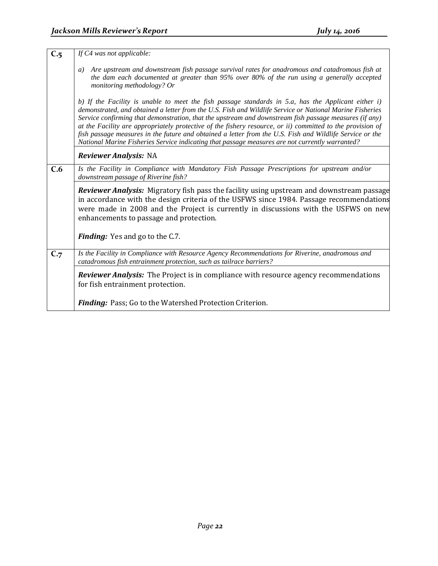| $C_{.5}$ | If C4 was not applicable:                                                                                                                                                                                                                                                                                                                                                                                                                                                                                                                                                                                                                              |
|----------|--------------------------------------------------------------------------------------------------------------------------------------------------------------------------------------------------------------------------------------------------------------------------------------------------------------------------------------------------------------------------------------------------------------------------------------------------------------------------------------------------------------------------------------------------------------------------------------------------------------------------------------------------------|
|          | Are upstream and downstream fish passage survival rates for anadromous and catadromous fish at<br>a)<br>the dam each documented at greater than 95% over 80% of the run using a generally accepted<br>monitoring methodology? Or                                                                                                                                                                                                                                                                                                                                                                                                                       |
|          | b) If the Facility is unable to meet the fish passage standards in 5.a, has the Applicant either i)<br>demonstrated, and obtained a letter from the U.S. Fish and Wildlife Service or National Marine Fisheries<br>Service confirming that demonstration, that the upstream and downstream fish passage measures (if any)<br>at the Facility are appropriately protective of the fishery resource, or ii) committed to the provision of<br>fish passage measures in the future and obtained a letter from the U.S. Fish and Wildlife Service or the<br>National Marine Fisheries Service indicating that passage measures are not currently warranted? |
|          | <b>Reviewer Analysis: NA</b>                                                                                                                                                                                                                                                                                                                                                                                                                                                                                                                                                                                                                           |
| C.6      | Is the Facility in Compliance with Mandatory Fish Passage Prescriptions for upstream and/or<br>downstream passage of Riverine fish?                                                                                                                                                                                                                                                                                                                                                                                                                                                                                                                    |
|          | <b>Reviewer Analysis:</b> Migratory fish pass the facility using upstream and downstream passage<br>in accordance with the design criteria of the USFWS since 1984. Passage recommendations<br>were made in 2008 and the Project is currently in discussions with the USFWS on new<br>enhancements to passage and protection.                                                                                                                                                                                                                                                                                                                          |
|          | <b>Finding:</b> Yes and go to the C.7.                                                                                                                                                                                                                                                                                                                                                                                                                                                                                                                                                                                                                 |
| C.7      | Is the Facility in Compliance with Resource Agency Recommendations for Riverine, anadromous and<br>catadromous fish entrainment protection, such as tailrace barriers?                                                                                                                                                                                                                                                                                                                                                                                                                                                                                 |
|          | <b>Reviewer Analysis:</b> The Project is in compliance with resource agency recommendations<br>for fish entrainment protection.                                                                                                                                                                                                                                                                                                                                                                                                                                                                                                                        |
|          | Finding: Pass; Go to the Watershed Protection Criterion.                                                                                                                                                                                                                                                                                                                                                                                                                                                                                                                                                                                               |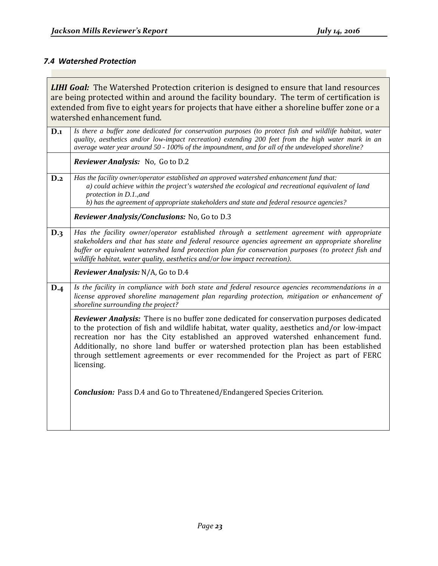# <span id="page-22-0"></span>*7.4 Watershed Protection*

|          | <b>LIHI Goal:</b> The Watershed Protection criterion is designed to ensure that land resources<br>are being protected within and around the facility boundary. The term of certification is<br>extended from five to eight years for projects that have either a shoreline buffer zone or a<br>watershed enhancement fund.                                                                                                                                            |
|----------|-----------------------------------------------------------------------------------------------------------------------------------------------------------------------------------------------------------------------------------------------------------------------------------------------------------------------------------------------------------------------------------------------------------------------------------------------------------------------|
| $D_{.1}$ | Is there a buffer zone dedicated for conservation purposes (to protect fish and wildlife habitat, water<br>quality, aesthetics and/or low-impact recreation) extending 200 feet from the high water mark in an<br>average water year around 50 - 100% of the impoundment, and for all of the undeveloped shoreline?                                                                                                                                                   |
|          | Reviewer Analysis: No, Go to D.2                                                                                                                                                                                                                                                                                                                                                                                                                                      |
| D.2      | Has the facility owner/operator established an approved watershed enhancement fund that:<br>a) could achieve within the project's watershed the ecological and recreational equivalent of land<br>protection in D.1., and<br>b) has the agreement of appropriate stakeholders and state and federal resource agencies?                                                                                                                                                |
|          | Reviewer Analysis/Conclusions: No, Go to D.3                                                                                                                                                                                                                                                                                                                                                                                                                          |
| D.3      | Has the facility owner/operator established through a settlement agreement with appropriate<br>stakeholders and that has state and federal resource agencies agreement an appropriate shoreline<br>buffer or equivalent watershed land protection plan for conservation purposes (to protect fish and<br>wildlife habitat, water quality, aesthetics and/or low impact recreation).                                                                                   |
|          | Reviewer Analysis: N/A, Go to D.4                                                                                                                                                                                                                                                                                                                                                                                                                                     |
| D.4      | Is the facility in compliance with both state and federal resource agencies recommendations in a<br>license approved shoreline management plan regarding protection, mitigation or enhancement of<br>shoreline surrounding the project?                                                                                                                                                                                                                               |
|          | Reviewer Analysis: There is no buffer zone dedicated for conservation purposes dedicated<br>to the protection of fish and wildlife habitat, water quality, aesthetics and/or low-impact<br>recreation nor has the City established an approved watershed enhancement fund.<br>Additionally, no shore land buffer or watershed protection plan has been established<br>through settlement agreements or ever recommended for the Project as part of FERC<br>licensing. |
|          | <b>Conclusion:</b> Pass D.4 and Go to Threatened/Endangered Species Criterion.                                                                                                                                                                                                                                                                                                                                                                                        |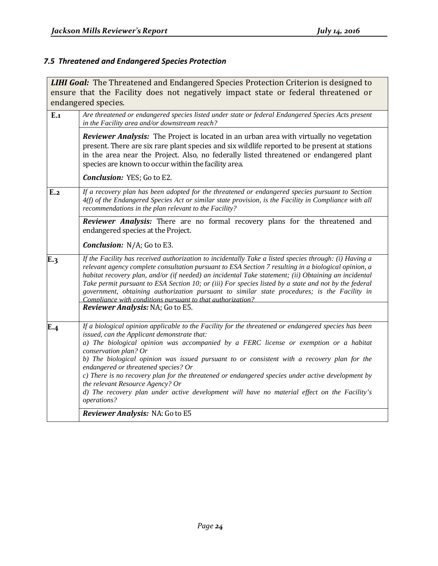# <span id="page-23-0"></span>*7.5 Threatened and Endangered Species Protection*

|     | <b>LIHI Goal:</b> The Threatened and Endangered Species Protection Criterion is designed to                                                                                                                                                                                                                                                                                                                                                                                                                                                                                                   |
|-----|-----------------------------------------------------------------------------------------------------------------------------------------------------------------------------------------------------------------------------------------------------------------------------------------------------------------------------------------------------------------------------------------------------------------------------------------------------------------------------------------------------------------------------------------------------------------------------------------------|
|     | ensure that the Facility does not negatively impact state or federal threatened or                                                                                                                                                                                                                                                                                                                                                                                                                                                                                                            |
|     | endangered species.                                                                                                                                                                                                                                                                                                                                                                                                                                                                                                                                                                           |
| E.1 | Are threatened or endangered species listed under state or federal Endangered Species Acts present<br>in the Facility area and/or downstream reach?                                                                                                                                                                                                                                                                                                                                                                                                                                           |
|     | Reviewer Analysis: The Project is located in an urban area with virtually no vegetation<br>present. There are six rare plant species and six wildlife reported to be present at stations<br>in the area near the Project. Also, no federally listed threatened or endangered plant<br>species are known to occur within the facility area.                                                                                                                                                                                                                                                    |
|     | <b>Conclusion:</b> YES; Go to E2.                                                                                                                                                                                                                                                                                                                                                                                                                                                                                                                                                             |
| E.2 | If a recovery plan has been adopted for the threatened or endangered species pursuant to Section<br>4(f) of the Endangered Species Act or similar state provision, is the Facility in Compliance with all<br>recommendations in the plan relevant to the Facility?                                                                                                                                                                                                                                                                                                                            |
|     | Reviewer Analysis: There are no formal recovery plans for the threatened and<br>endangered species at the Project.                                                                                                                                                                                                                                                                                                                                                                                                                                                                            |
|     | <b>Conclusion:</b> N/A; Go to E3.                                                                                                                                                                                                                                                                                                                                                                                                                                                                                                                                                             |
| E.3 | If the Facility has received authorization to incidentally Take a listed species through: (i) Having a<br>relevant agency complete consultation pursuant to ESA Section 7 resulting in a biological opinion, a<br>habitat recovery plan, and/or (if needed) an incidental Take statement; (ii) Obtaining an incidental<br>Take permit pursuant to ESA Section 10; or (iii) For species listed by a state and not by the federal<br>government, obtaining authorization pursuant to similar state procedures; is the Facility in<br>Compliance with conditions pursuant to that authorization? |
|     | Reviewer Analysis: NA; Go to E5.                                                                                                                                                                                                                                                                                                                                                                                                                                                                                                                                                              |
| E.4 | If a biological opinion applicable to the Facility for the threatened or endangered species has been<br>issued, can the Applicant demonstrate that:<br>a) The biological opinion was accompanied by a FERC license or exemption or a habitat<br>conservation plan? Or<br>b) The biological opinion was issued pursuant to or consistent with a recovery plan for the<br>endangered or threatened species? Or<br>c) There is no recovery plan for the threatened or endangered species under active development by<br>the relevant Resource Agency? Or                                         |
|     | d) The recovery plan under active development will have no material effect on the Facility's<br>operations?                                                                                                                                                                                                                                                                                                                                                                                                                                                                                   |
|     | Reviewer Analysis: NA: Go to E5                                                                                                                                                                                                                                                                                                                                                                                                                                                                                                                                                               |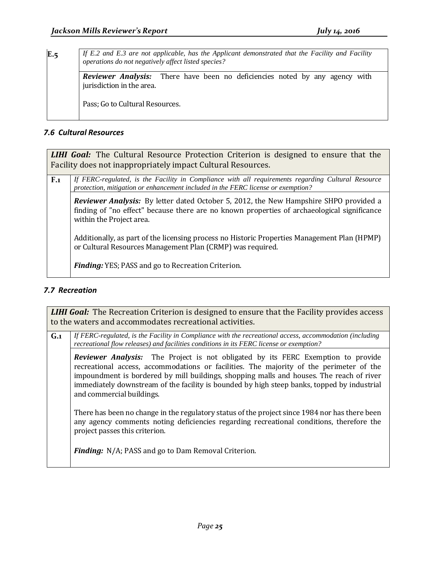| E.5 | If E.2 and E.3 are not applicable, has the Applicant demonstrated that the Facility and Facility<br>operations do not negatively affect listed species? |
|-----|---------------------------------------------------------------------------------------------------------------------------------------------------------|
|     | <b>Reviewer Analysis:</b> There have been no deficiencies noted by any agency with<br>jurisdiction in the area.                                         |
|     | Pass; Go to Cultural Resources.                                                                                                                         |

#### <span id="page-24-0"></span>*7.6 Cultural Resources*

*LIHI Goal:* The Cultural Resource Protection Criterion is designed to ensure that the Facility does not inappropriately impact Cultural Resources.

| $\mathbf{F}$ . If FERC-regulated, is the Facility in Compliance with all requirements regarding Cultural Resource |
|-------------------------------------------------------------------------------------------------------------------|
| protection, mitigation or enhancement included in the FERC license or exemption?                                  |
|                                                                                                                   |

*Reviewer Analysis:* By letter dated October 5, 2012, the New Hampshire SHPO provided a finding of "no effect" because there are no known properties of archaeological significance within the Project area.

Additionally, as part of the licensing process no Historic Properties Management Plan (HPMP) or Cultural Resources Management Plan (CRMP) was required.

*Finding:* YES; PASS and go to Recreation Criterion.

#### <span id="page-24-1"></span>*7.7 Recreation*

**LIHI Goal:** The Recreation Criterion is designed to ensure that the Facility provides access to the waters and accommodates recreational activities.

**G.1** *If FERC-regulated, is the Facility in Compliance with the recreational access, accommodation (including recreational flow releases) and facilities conditions in its FERC license or exemption? Reviewer Analysis:* The Project is not obligated by its FERC Exemption to provide recreational access, accommodations or facilities. The majority of the perimeter of the impoundment is bordered by mill buildings, shopping malls and houses. The reach of river immediately downstream of the facility is bounded by high steep banks, topped by industrial and commercial buildings. There has been no change in the regulatory status of the project since 1984 nor has there been any agency comments noting deficiencies regarding recreational conditions, therefore the project passes this criterion. *Finding:* N/A; PASS and go to Dam Removal Criterion.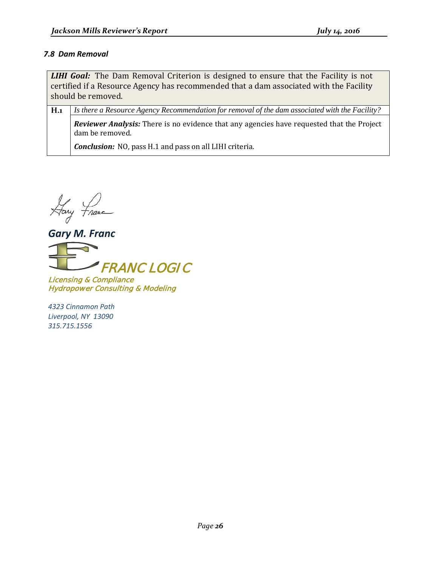#### <span id="page-25-0"></span>*7.8 Dam Removal*

**LIHI Goal:** The Dam Removal Criterion is designed to ensure that the Facility is not certified if a Resource Agency has recommended that a dam associated with the Facility should be removed.

**H.1** *Is there a Resource Agency Recommendation for removal of the dam associated with the Facility?*

*Reviewer Analysis:* There is no evidence that any agencies have requested that the Project dam be removed.

*Conclusion:* NO, pass H.1 and pass on all LIHI criteria.

Hary France

*Gary M. Franc*



Licensing & Compliance Hydropower Consulting & Modeling

*4323 Cinnamon Path Liverpool, NY 13090 315.715.1556*